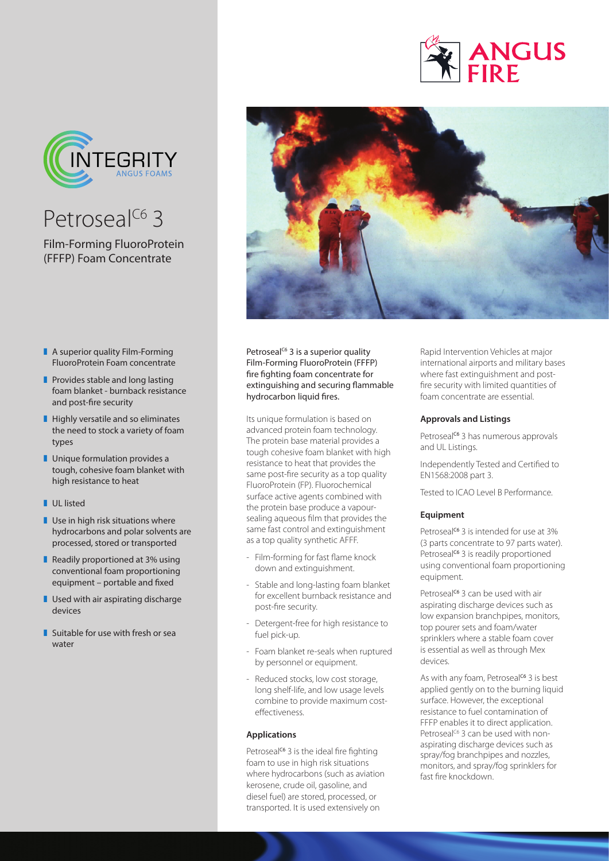

## Petroseal<sup>C6</sup> 3

Film-Forming FluoroProtein (FFFP) Foam Concentrate

- $\blacksquare$  A superior quality Film-Forming FluoroProtein Foam concentrate
- $\blacksquare$  Provides stable and long lasting foam blanket - burnback resistance and post-fire security
- $\blacksquare$  Highly versatile and so eliminates the need to stock a variety of foam types
- $\blacksquare$  Unique formulation provides a tough, cohesive foam blanket with high resistance to heat
- **LUL** listed
- $\blacksquare$  Use in high risk situations where hydrocarbons and polar solvents are processed, stored or transported
- Readily proportioned at  $3\%$  using conventional foam proportioning equipment – portable and fixed
- $\blacksquare$  Used with air aspirating discharge devices
- $\blacksquare$  Suitable for use with fresh or sea water



Petroseal<sup>c6</sup> 3 is a superior quality Film-Forming FluoroProtein (FFFP) fire fighting foam concentrate for extinguishing and securing flammable hydrocarbon liquid fires.

Its unique formulation is based on advanced protein foam technology. The protein base material provides a tough cohesive foam blanket with high resistance to heat that provides the same post-fire security as a top quality FluoroProtein (FP). Fluorochemical surface active agents combined with the protein base produce a vapoursealing aqueous film that provides the same fast control and extinguishment as a top quality synthetic AFFF.

- Film-forming for fast flame knock down and extinguishment.
- Stable and long-lasting foam blanket for excellent burnback resistance and post-fire security.
- Detergent-free for high resistance to fuel pick-up.
- Foam blanket re-seals when ruptured by personnel or equipment.
- Reduced stocks, low cost storage, long shelf-life, and low usage levels combine to provide maximum costeffectiveness.

#### **Applications**

Petroseal<sup>c6</sup> 3 is the ideal fire fighting foam to use in high risk situations where hydrocarbons (such as aviation kerosene, crude oil, gasoline, and diesel fuel) are stored, processed, or transported. It is used extensively on

Rapid Intervention Vehicles at major international airports and military bases where fast extinguishment and postfire security with limited quantities of foam concentrate are essential.

**ANGUS** 

#### **Approvals and Listings**

Petroseal<sup>c6</sup> 3 has numerous approvals and UL Listings.

Independently Tested and Certified to EN1568:2008 part 3.

Tested to ICAO Level B Performance.

#### **Equipment**

Petroseal<sup>c6</sup> 3 is intended for use at 3% (3 parts concentrate to 97 parts water). Petroseal<sup>c6</sup> 3 is readily proportioned using conventional foam proportioning equipment.

Petroseal<sup>c6</sup> 3 can be used with air aspirating discharge devices such as low expansion branchpipes, monitors, top pourer sets and foam/water sprinklers where a stable foam cover is essential as well as through Mex devices.

As with any foam, Petroseal<sup>c6</sup> 3 is best applied gently on to the burning liquid surface. However, the exceptional resistance to fuel contamination of FFFP enables it to direct application. Petroseal<sup>C6</sup> 3 can be used with nonaspirating discharge devices such as spray/fog branchpipes and nozzles, monitors, and spray/fog sprinklers for fast fire knockdown.